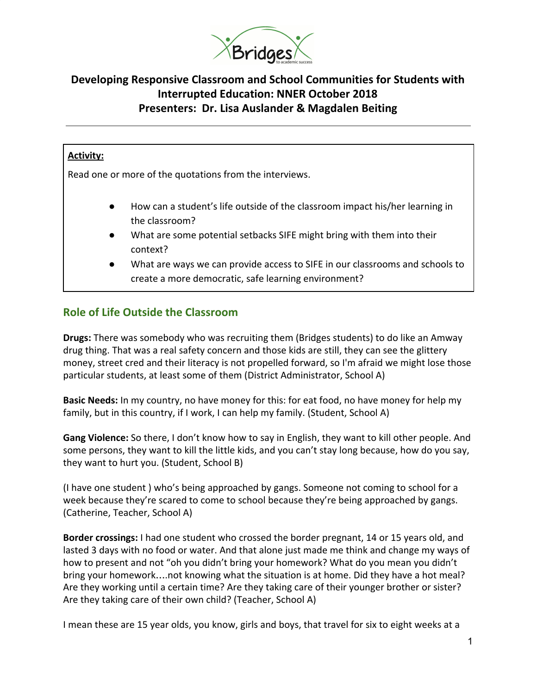

# **Developing Responsive Classroom and School Communities for Students with Interrupted Education: NNER October 2018 Presenters: Dr. Lisa Auslander & Magdalen Beiting**

#### **Activity:**

Read one or more of the quotations from the interviews.

- How can a student's life outside of the classroom impact his/her learning in the classroom?
- What are some potential setbacks SIFE might bring with them into their context?
- What are ways we can provide access to SIFE in our classrooms and schools to create a more democratic, safe learning environment?

### **Role of Life Outside the Classroom**

**Drugs:** There was somebody who was recruiting them (Bridges students) to do like an Amway drug thing. That was a real safety concern and those kids are still, they can see the glittery money, street cred and their literacy is not propelled forward, so I'm afraid we might lose those particular students, at least some of them (District Administrator, School A)

**Basic Needs:** In my country, no have money for this: for eat food, no have money for help my family, but in this country, if I work, I can help my family. (Student, School A)

**Gang Violence:** So there, I don't know how to say in English, they want to kill other people. And some persons, they want to kill the little kids, and you can't stay long because, how do you say, they want to hurt you. (Student, School B)

(I have one student ) who's being approached by gangs. Someone not coming to school for a week because they're scared to come to school because they're being approached by gangs. (Catherine, Teacher, School A)

**Border crossings:** I had one student who crossed the border pregnant, 14 or 15 years old, and lasted 3 days with no food or water. And that alone just made me think and change my ways of how to present and not "oh you didn't bring your homework? What do you mean you didn't bring your homework….not knowing what the situation is at home. Did they have a hot meal? Are they working until a certain time? Are they taking care of their younger brother or sister? Are they taking care of their own child? (Teacher, School A)

I mean these are 15 year olds, you know, girls and boys, that travel for six to eight weeks at a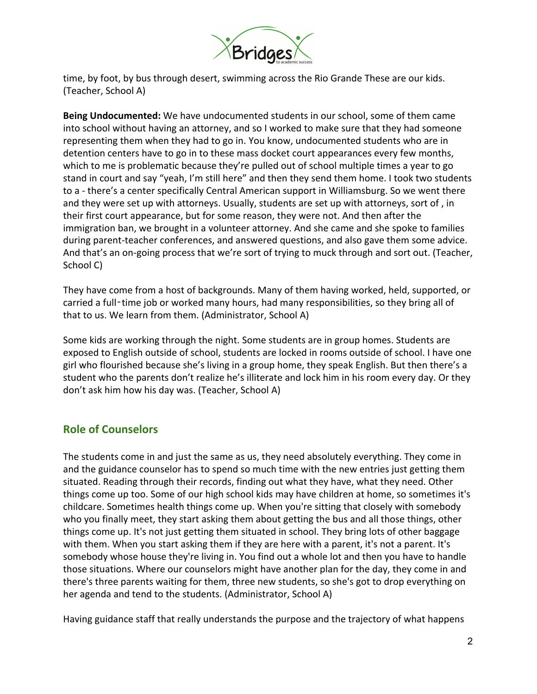

time, by foot, by bus through desert, swimming across the Rio Grande These are our kids. (Teacher, School A)

**Being Undocumented:** We have undocumented students in our school, some of them came into school without having an attorney, and so I worked to make sure that they had someone representing them when they had to go in. You know, undocumented students who are in detention centers have to go in to these mass docket court appearances every few months, which to me is problematic because they're pulled out of school multiple times a year to go stand in court and say "yeah, I'm still here" and then they send them home. I took two students to a - there's a center specifically Central American support in Williamsburg. So we went there and they were set up with attorneys. Usually, students are set up with attorneys, sort of , in their first court appearance, but for some reason, they were not. And then after the immigration ban, we brought in a volunteer attorney. And she came and she spoke to families during parent-teacher conferences, and answered questions, and also gave them some advice. And that's an on-going process that we're sort of trying to muck through and sort out. (Teacher, School C)

They have come from a host of backgrounds. Many of them having worked, held, supported, or carried a full-time job or worked many hours, had many responsibilities, so they bring all of that to us. We learn from them. (Administrator, School A)

Some kids are working through the night. Some students are in group homes. Students are exposed to English outside of school, students are locked in rooms outside of school. I have one girl who flourished because she's living in a group home, they speak English. But then there's a student who the parents don't realize he's illiterate and lock him in his room every day. Or they don't ask him how his day was. (Teacher, School A)

### **Role of Counselors**

The students come in and just the same as us, they need absolutely everything. They come in and the guidance counselor has to spend so much time with the new entries just getting them situated. Reading through their records, finding out what they have, what they need. Other things come up too. Some of our high school kids may have children at home, so sometimes it's childcare. Sometimes health things come up. When you're sitting that closely with somebody who you finally meet, they start asking them about getting the bus and all those things, other things come up. It's not just getting them situated in school. They bring lots of other baggage with them. When you start asking them if they are here with a parent, it's not a parent. It's somebody whose house they're living in. You find out a whole lot and then you have to handle those situations. Where our counselors might have another plan for the day, they come in and there's three parents waiting for them, three new students, so she's got to drop everything on her agenda and tend to the students. (Administrator, School A)

Having guidance staff that really understands the purpose and the trajectory of what happens